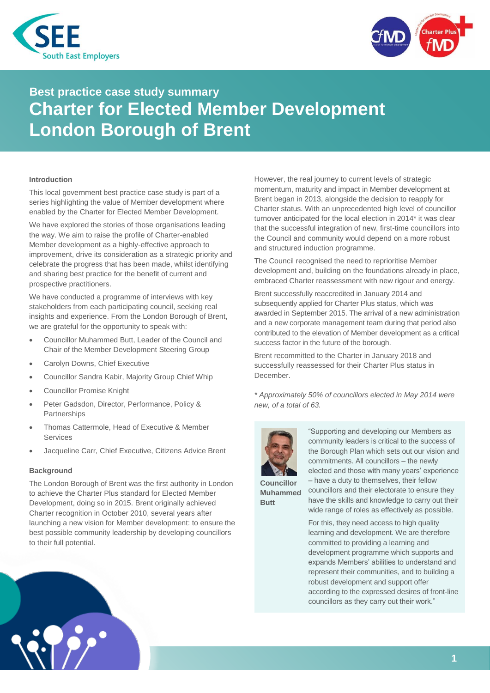



# **Best practice case study summary Charter for Elected Member Development London Borough of Brent**

## **Introduction**

This local government best practice case study is part of a series highlighting the value of Member development where enabled by the Charter for Elected Member Development.

We have explored the stories of those organisations leading the way. We aim to raise the profile of Charter-enabled Member development as a highly-effective approach to improvement, drive its consideration as a strategic priority and celebrate the progress that has been made, whilst identifying and sharing best practice for the benefit of current and prospective practitioners.

We have conducted a programme of interviews with key stakeholders from each participating council, seeking real insights and experience. From the London Borough of Brent, we are grateful for the opportunity to speak with:

- Councillor Muhammed Butt, Leader of the Council and Chair of the Member Development Steering Group
- Carolyn Downs, Chief Executive
- Councillor Sandra Kabir, Majority Group Chief Whip
- Councillor Promise Knight
- Peter Gadsdon, Director, Performance, Policy & **Partnerships**
- Thomas Cattermole, Head of Executive & Member Services
- Jacqueline Carr, Chief Executive, Citizens Advice Brent

#### **Background**

The London Borough of Brent was the first authority in London to achieve the Charter Plus standard for Elected Member Development, doing so in 2015. Brent originally achieved Charter recognition in October 2010, several years after launching a new vision for Member development: to ensure the best possible community leadership by developing councillors to their full potential.



However, the real journey to current levels of strategic momentum, maturity and impact in Member development at Brent began in 2013, alongside the decision to reapply for Charter status. With an unprecedented high level of councillor turnover anticipated for the local election in 2014\* it was clear that the successful integration of new, first-time councillors into the Council and community would depend on a more robust and structured induction programme.

The Council recognised the need to reprioritise Member development and, building on the foundations already in place, embraced Charter reassessment with new rigour and energy.

Brent successfully reaccredited in January 2014 and subsequently applied for Charter Plus status, which was awarded in September 2015. The arrival of a new administration and a new corporate management team during that period also contributed to the elevation of Member development as a critical success factor in the future of the borough.

Brent recommitted to the Charter in January 2018 and successfully reassessed for their Charter Plus status in December.

*\* Approximately 50% of councillors elected in May 2014 were new, of a total of 63.*



"Supporting and developing our Members as community leaders is critical to the success of the Borough Plan which sets out our vision and commitments. All councillors – the newly elected and those with many years' experience – have a duty to themselves, their fellow

**Councillor Muhammed Butt**

councillors and their electorate to ensure they have the skills and knowledge to carry out their wide range of roles as effectively as possible.

For this, they need access to high quality learning and development. We are therefore committed to providing a learning and development programme which supports and expands Members' abilities to understand and represent their communities, and to building a robust development and support offer according to the expressed desires of front-line councillors as they carry out their work."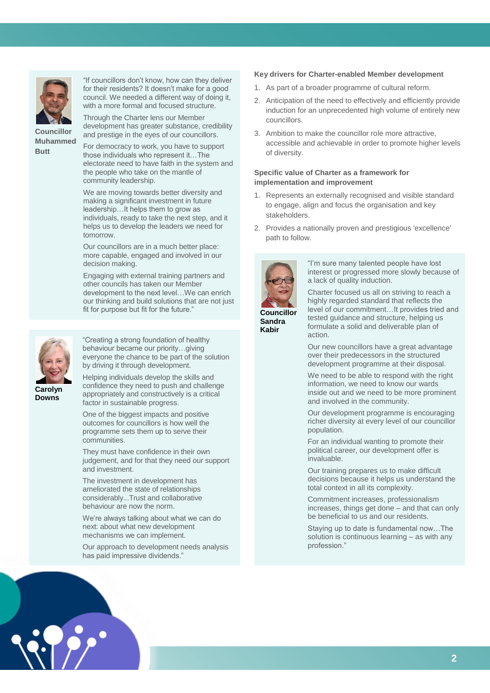

"If councillors don't know, how can they deliver for their residents? It doesn't make for a good council. We needed a different way of doing it, with a more formal and focused structure.

**Councillor Muhammed Butt**

development has greater substance, credibility and prestige in the eyes of our councillors.

Through the Charter lens our Member

For democracy to work, you have to support those individuals who represent it…The electorate need to have faith in the system and the people who take on the mantle of community leadership.

We are moving towards better diversity and making a significant investment in future leadership…It helps them to grow as individuals, ready to take the next step, and it helps us to develop the leaders we need for tomorrow.

Our councillors are in a much better place: more capable, engaged and involved in our decision making.

Engaging with external training partners and other councils has taken our Member development to the next level…We can enrich our thinking and build solutions that are not just fit for purpose but fit for the future."



"Creating a strong foundation of healthy behaviour became our priority…giving everyone the chance to be part of the solution by driving it through development.

**Carolyn Downs**

Helping individuals develop the skills and confidence they need to push and challenge appropriately and constructively is a critical factor in sustainable progress.

One of the biggest impacts and positive outcomes for councillors is how well the programme sets them up to serve their communities.

They must have confidence in their own judgement, and for that they need our support and investment.

The investment in development has ameliorated the state of relationships considerably...Trust and collaborative behaviour are now the norm.

We're always talking about what we can do next: about what new development mechanisms we can implement.

Our approach to development needs analysis has paid impressive dividends."

## **Key drivers for Charter-enabled Member development**

- 1. As part of a broader programme of cultural reform.
- 2. Anticipation of the need to effectively and efficiently provide induction for an unprecedented high volume of entirely new councillors.
- 3. Ambition to make the councillor role more attractive, accessible and achievable in order to promote higher levels of diversity.

## **Specific value of Charter as a framework for implementation and improvement**

- 1. Represents an externally recognised and visible standard to engage, align and focus the organisation and key stakeholders.
- 2. Provides a nationally proven and prestigious 'excellence' path to follow.



"I'm sure many talented people have lost interest or progressed more slowly because of a lack of quality induction.

**Councillor Sandra Kabir**

Charter focused us all on striving to reach a highly regarded standard that reflects the level of our commitment…It provides tried and tested guidance and structure, helping us formulate a solid and deliverable plan of action.

Our new councillors have a great advantage over their predecessors in the structured development programme at their disposal.

We need to be able to respond with the right information, we need to know our wards inside out and we need to be more prominent and involved in the community.

Our development programme is encouraging richer diversity at every level of our councillor population.

For an individual wanting to promote their political career, our development offer is invaluable.

Our training prepares us to make difficult decisions because it helps us understand the total context in all its complexity.

Commitment increases, professionalism increases, things get done – and that can only be beneficial to us and our residents.

Staying up to date is fundamental now…The solution is continuous learning – as with any profession."

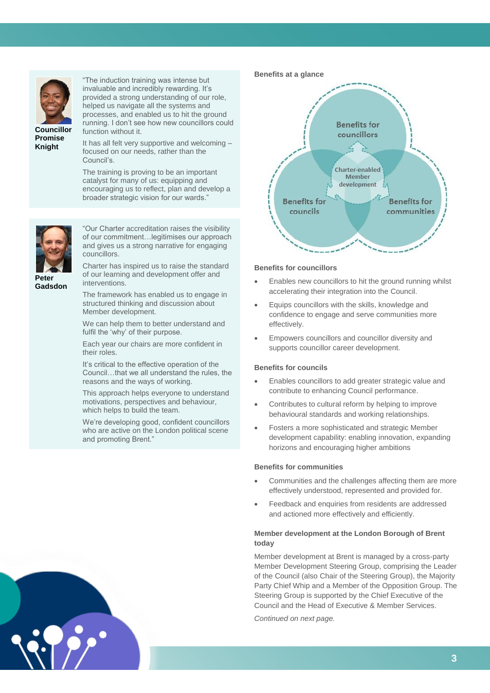

"The induction training was intense but invaluable and incredibly rewarding. It's provided a strong understanding of our role, helped us navigate all the systems and processes, and enabled us to hit the ground running. I don't see how new councillors could function without it.

**Promise Knight**

It has all felt very supportive and welcoming – focused on our needs, rather than the Council's.

The training is proving to be an important catalyst for many of us: equipping and encouraging us to reflect, plan and develop a broader strategic vision for our wards."



"Our Charter accreditation raises the visibility of our commitment…legitimises our approach and gives us a strong narrative for engaging councillors.

Charter has inspired us to raise the standard of our learning and development offer and interventions.

The framework has enabled us to engage in structured thinking and discussion about Member development.

We can help them to better understand and fulfil the 'why' of their purpose.

Each year our chairs are more confident in their roles.

It's critical to the effective operation of the Council…that we all understand the rules, the reasons and the ways of working.

This approach helps everyone to understand motivations, perspectives and behaviour, which helps to build the team.

We're developing good, confident councillors who are active on the London political scene and promoting Brent."



#### **Benefits for councillors**

- Enables new councillors to hit the ground running whilst accelerating their integration into the Council.
- Equips councillors with the skills, knowledge and confidence to engage and serve communities more effectively.
- Empowers councillors and councillor diversity and supports councillor career development.

#### **Benefits for councils**

- Enables councillors to add greater strategic value and contribute to enhancing Council performance.
- Contributes to cultural reform by helping to improve behavioural standards and working relationships.
- Fosters a more sophisticated and strategic Member development capability: enabling innovation, expanding horizons and encouraging higher ambitions

#### **Benefits for communities**

- Communities and the challenges affecting them are more effectively understood, represented and provided for.
- Feedback and enquiries from residents are addressed and actioned more effectively and efficiently.

## **Member development at the London Borough of Brent today**

Member development at Brent is managed by a cross-party Member Development Steering Group, comprising the Leader of the Council (also Chair of the Steering Group), the Majority Party Chief Whip and a Member of the Opposition Group. The Steering Group is supported by the Chief Executive of the Council and the Head of Executive & Member Services.

*Continued on next page.*

**Peter Gadsdon**

**43**